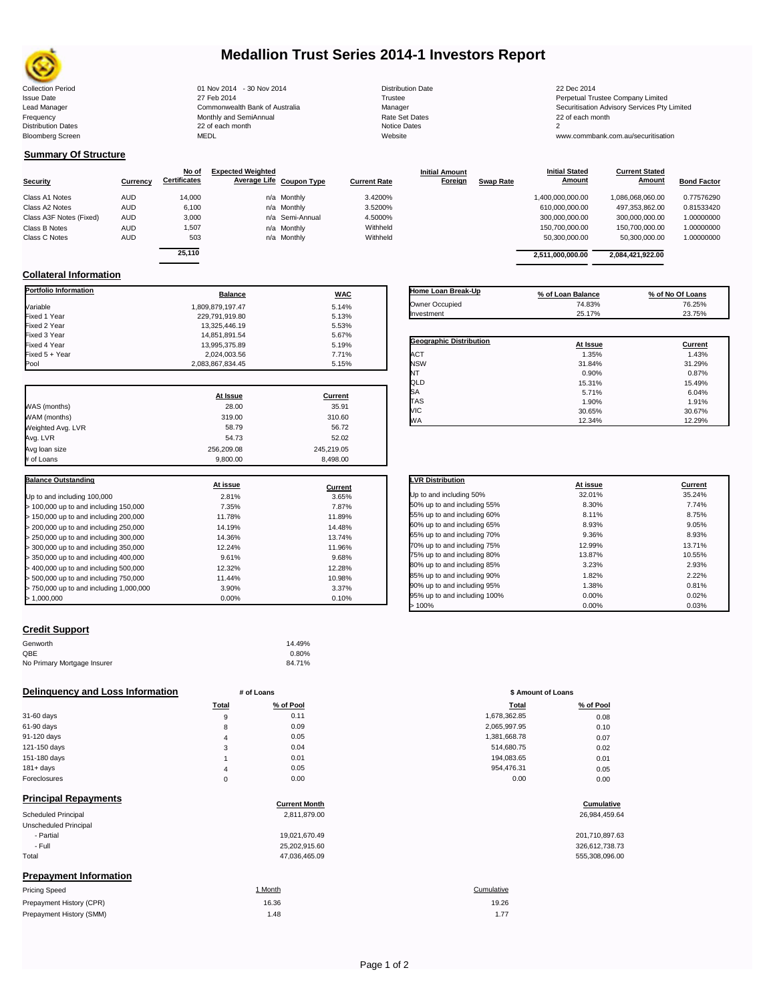

# **Medallion Trust Series 2014-1 Investors Report**

| <b>Collection Period</b>  | 01 Nov 2014 - 30 Nov 2014      | <b>Distribution Date</b> | 22 Dec 2014                             |
|---------------------------|--------------------------------|--------------------------|-----------------------------------------|
| <b>Issue Date</b>         | 27 Feb 2014                    | Trustee                  | Perpetual Trustee Company Limited       |
| Lead Manager              | Commonwealth Bank of Australia | Manager                  | Securitisation Advisory Services Pty Li |
| Frequency                 | Monthly and SemiAnnual         | <b>Rate Set Dates</b>    | 22 of each month                        |
| <b>Distribution Dates</b> | 22 of each month               | Notice Dates             |                                         |
| <b>Bloomberg Screen</b>   | <b>MEDL</b>                    | Website                  | www.commbank.com.au/securitisation      |

٦

## **Summary Of Structure**

|                         |            | No of               | <b>Expected Weighted</b> |                 |                     | <b>Initial Amount</b> |                  | <b>Initial Stated</b> | <b>Current Stated</b> |                    |
|-------------------------|------------|---------------------|--------------------------|-----------------|---------------------|-----------------------|------------------|-----------------------|-----------------------|--------------------|
| <b>Security</b>         | Currency   | <b>Certificates</b> | Average Life Coupon Type |                 | <b>Current Rate</b> | Foreign               | <b>Swap Rate</b> | Amount                | Amount                | <b>Bond Factor</b> |
| Class A1 Notes          | <b>AUD</b> | 14,000              |                          | n/a Monthly     | 3.4200%             |                       |                  | 1,400,000,000.00      | 1,086,068,060.00      | 0.77576290         |
| Class A2 Notes          | <b>AUD</b> | 6.100               |                          | n/a Monthly     | 3.5200%             |                       |                  | 610,000,000.00        | 497, 353, 862.00      | 0.81533420         |
| Class A3F Notes (Fixed) | <b>AUD</b> | 3,000               |                          | n/a Semi-Annual | 4.5000%             |                       |                  | 300,000,000.00        | 300.000.000.00        | 1.00000000         |
| Class B Notes           | <b>AUD</b> | 1,507               |                          | n/a Monthly     | Withheld            |                       |                  | 150.700.000.00        | 150.700.000.00        | 1.00000000         |
| Class C Notes           | <b>AUD</b> | 503                 |                          | n/a Monthly     | Withheld            |                       |                  | 50.300.000.00         | 50.300.000.00         | 1.00000000         |
|                         |            | 0.5440              |                          |                 |                     |                       |                  |                       |                       |                    |

| No of<br>ificates | <b>Expected Weighted</b> | Average Life Coupon Type | <b>Current Rate</b> | <b>Initial Amount</b><br>Foreign | <b>Swap Rate</b> | <b>Initial Stated</b><br>Amount | <b>Current Stated</b><br>Amount | <b>Bond Factor</b> |
|-------------------|--------------------------|--------------------------|---------------------|----------------------------------|------------------|---------------------------------|---------------------------------|--------------------|
| 14.000            |                          | n/a Monthly              | 3.4200%             |                                  |                  | 1,400,000,000.00                | 1.086.068.060.00                | 0.77576290         |
| 6,100             |                          | n/a Monthly              | 3.5200%             |                                  |                  | 610,000,000.00                  | 497.353.862.00                  | 0.81533420         |
| 3,000             |                          | n/a Semi-Annual          | 4.5000%             |                                  |                  | 300.000.000.00                  | 300.000.000.00                  | 1.00000000         |
| 1,507             |                          | n/a Monthly              | Withheld            |                                  |                  | 150,700,000.00                  | 150.700.000.00                  | 1.00000000         |
| 503               |                          | n/a Monthly              | Withheld            |                                  |                  | 50.300.000.00                   | 50.300.000.00                   | 1.00000000         |
| 25.110            |                          |                          |                     |                                  |                  | 2,511,000,000.00                | 2,084,421,922.00                |                    |
|                   |                          |                          |                     |                                  |                  |                                 |                                 |                    |

## **Collateral Information**

| Portfolio Information                   | <b>Balance</b>   | <b>WAC</b> |
|-----------------------------------------|------------------|------------|
| Variable                                | 1.809.879.197.47 | 5.14%      |
| Fixed 1 Year                            | 229,791,919.80   | 5.13%      |
| Fixed 2 Year                            | 13,325,446.19    | 5.53%      |
| Fixed 3 Year                            | 14,851,891.54    | 5.67%      |
| Fixed 4 Year                            | 13,995,375.89    | 5.19%      |
| Fixed 5 + Year                          | 2,024,003.56     | 7.71%      |
| Pool                                    | 2,083,867,834.45 | 5.15%      |
|                                         | At Issue         | Current    |
| WAS (months)                            | 28.00            | 35.91      |
| WAM (months)                            | 319.00           | 310.60     |
| Weighted Avg. LVR                       | 58.79            | 56.72      |
| Avg. LVR                                | 54.73            | 52.02      |
| Avg loan size                           | 256,209.08       | 245,219.05 |
| # of Loans                              | 9.800.00         | 8.498.00   |
| <b>Balance Outstanding</b>              | At issue         | Current    |
| Up to and including 100,000             | 2.81%            | 3.65%      |
| > 100,000 up to and including 150,000   | 7.35%            | 7.87%      |
| > 150,000 up to and including 200,000   | 11.78%           | 11.89%     |
| > 200,000 up to and including 250,000   | 14.19%           | 14.48%     |
| > 250,000 up to and including 300,000   | 14.36%           | 13.74%     |
| > 300,000 up to and including 350,000   | 12.24%           | 11.96%     |
| > 350,000 up to and including 400,000   | 9.61%            | 9.68%      |
| > 400,000 up to and including 500,000   | 12.32%           | 12.28%     |
| > 500,000 up to and including 750,000   | 11.44%           | 10.98%     |
| > 750,000 up to and including 1,000,000 | 3.90%            | 3.37%      |
| >1,000,000                              | 0.00%            | 0.10%      |

| Home Loan Break-Up      | % of Loan Balance | % of No Of Loans |
|-------------------------|-------------------|------------------|
| Owner Occupied          | 74.83%            | 76.25%           |
| Investment              | 25.17%            | 23.75%           |
|                         |                   |                  |
|                         |                   |                  |
| Geographic Distribution | At Issue          | Current          |
| <b>ACT</b>              | 1.35%             | 1.43%            |
| <b>NSW</b>              | 31.84%            | 31.29%           |
| NT                      | 0.90%             | 0.87%            |
| QLD                     | 15.31%            | 15.49%           |
| SA                      | 5.71%             | 6.04%            |
| <b>TAS</b>              | 1.90%             | 1.91%            |
| <b>VIC</b>              | 30.65%            | 30.67%           |
| <b>WA</b>               | 12.34%            | 12.29%           |

| <b>LVR Distribution</b>      | At issue | Current |
|------------------------------|----------|---------|
| Up to and including 50%      | 32.01%   | 35.24%  |
| 50% up to and including 55%  | 8.30%    | 7.74%   |
| 55% up to and including 60%  | 8.11%    | 8.75%   |
| 60% up to and including 65%  | 8.93%    | 9.05%   |
| 65% up to and including 70%  | 9.36%    | 8.93%   |
| 70% up to and including 75%  | 12.99%   | 13.71%  |
| 75% up to and including 80%  | 13.87%   | 10.55%  |
| 80% up to and including 85%  | 3.23%    | 2.93%   |
| 85% up to and including 90%  | 1.82%    | 2.22%   |
| 90% up to and including 95%  | 1.38%    | 0.81%   |
| 95% up to and including 100% | 0.00%    | 0.02%   |
| >100%                        | 0.00%    | 0.03%   |

## **Credit Support**

Prepayment History (SMM)

| Genworth                    | 14.49% |
|-----------------------------|--------|
| OBE                         | 0.80%  |
| No Primary Mortgage Insurer | 84.71% |

## **Delinquency and Loss Information # of Loans # of Loans \$ Amount of Loans**

|              | Total    | % of Pool | <b>Total</b> | % of Pool |
|--------------|----------|-----------|--------------|-----------|
| 31-60 days   | 9        | 0.11      | 1,678,362.85 | 0.08      |
| 61-90 days   | 8        | 0.09      | 2,065,997.95 | 0.10      |
| 91-120 days  | 4        | 0.05      | 1,381,668.78 | 0.07      |
| 121-150 days | 3        | 0.04      | 514,680.75   | 0.02      |
| 151-180 days |          | 0.01      | 194.083.65   | 0.01      |
| $181 + days$ | 4        | 0.05      | 954.476.31   | 0.05      |
| Foreclosures | $\Omega$ | 0.00      | 0.00         | 0.00      |
|              |          |           |              |           |

| <b>Principal Repayments</b>   |                      |                |
|-------------------------------|----------------------|----------------|
|                               | <b>Current Month</b> | Cumulative     |
| Scheduled Principal           | 2,811,879.00         | 26,984,459.64  |
| Unscheduled Principal         |                      |                |
| - Partial                     | 19,021,670.49        | 201,710,897.63 |
| - Full                        | 25,202,915.60        | 326,612,738.73 |
| Total                         | 47,036,465.09        | 555,308,096.00 |
| <b>Prepayment Information</b> |                      |                |
| <b>Pricing Speed</b>          | 1 Month              | Cumulative     |
| Prepayment History (CPR)      | 16.36                | 19.26          |

| Total          | % of Pool | <b>Total</b> | % of Pool |
|----------------|-----------|--------------|-----------|
| 9              | 0.11      | 1,678,362.85 | 0.08      |
| 8              | 0.09      | 2,065,997.95 | 0.10      |
| 4              | 0.05      | 1,381,668.78 | 0.07      |
| 3              | 0.04      | 514,680.75   | 0.02      |
| ٠              | 0.01      | 194,083.65   | 0.01      |
| $\overline{4}$ | 0.05      | 954,476.31   | 0.05      |
| 0              | 0.00      | 0.00         | 0.00      |
|                |           |              |           |

# **<u>Cumulative</u>**

| 201,710,897.63 |
|----------------|
| 326,612,738.73 |
| 555.308.096.00 |

# Page 1 of 2

1.48 1.77